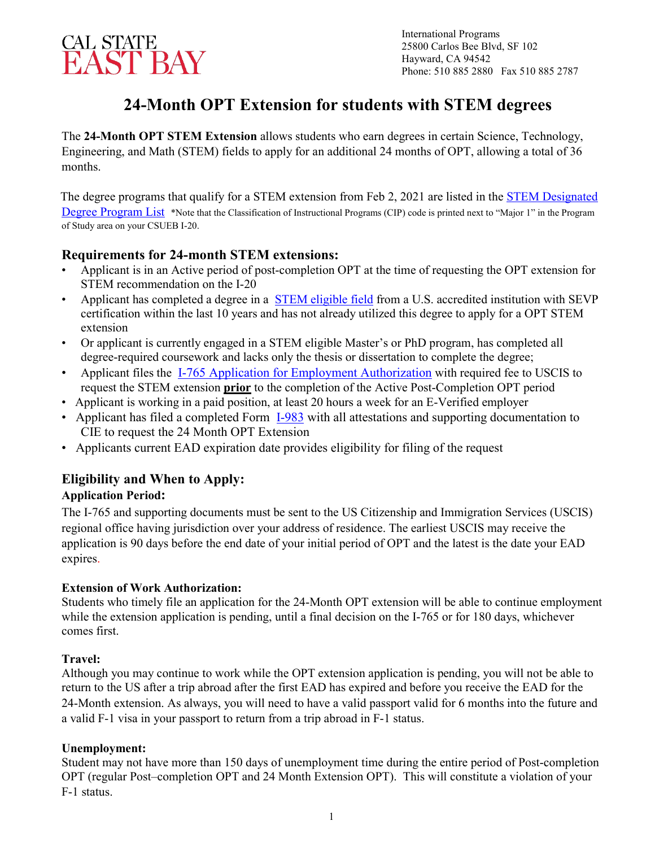

International Programs 25800 Carlos Bee Blvd, SF 102 Hayward, CA 94542 Phone: 510 885 2880 Fax 510 885 2787

# **24-Month OPT Extension for students with STEM degrees**

The **24-Month OPT STEM Extension** allows students who earn degrees in certain Science, Technology, Engineering, and Math (STEM) fields to apply for an additional 24 months of OPT, allowing a total of 36 months.

The degree programs that qualify for a STEM extension from Feb 2, 2021 are listed in the **STEM** Designated [Degree Program List](https://www.ice.gov/sites/default/files/documents/stem-list.pdf) \*Note that the Classification of Instructional Programs (CIP) code is printed next to "Major 1" in the Program of Study area on your CSUEB I-20.

## **Requirements for 24-month STEM extensions:**

- Applicant is in an Active period of post-completion OPT at the time of requesting the OPT extension for STEM recommendation on the I-20
- Applicant has completed a degree in a [STEM eligible field](https://www.ice.gov/sites/default/files/documents/stem-list.pdf) [fr](https://www.ice.gov/sites/default/files/documents/Document/2016/stem-list.pdf)om a U.S. accredited institution with SEVP certification within the last 10 years and has not already utilized this degree to apply for a OPT STEM extension
- Or applicant is currently engaged in a STEM eligible Master's or PhD program, has completed all  degree-required coursework and lacks only the thesis or dissertation to complete the degree;
- Applicant files the **[I-765 Application for Employment Authorization](https://www.uscis.gov/i-765)** [wi](https://www.uscis.gov/i-765)th required fee to USCIS to request the STEM extension **prior** to the completion of the Active Post-Completion OPT period
- Applicant is working in a paid position, at least 20 hours a week for an E-Verified employer
- Applicant has filed a completed Form [I-983](http://www.ice.gov/doclib/sevis/pdf/i983.pdf) [with](http://www.ice.gov/doclib/sevis/pdf/i983.pdf) all attestations and supporting documentation to CIE to request the 24 Month OPT Extension
- Applicants current EAD expiration date provides eligibility for filing of the request

# **Eligibility and When to Apply:**

### **Application Period:**

The I-765 and supporting documents must be sent to the US Citizenship and Immigration Services (USCIS) regional office having jurisdiction over your address of residence. The earliest USCIS may receive the application is 90 days before the end date of your initial period of OPT and the latest is the date your EAD expires.

### **Extension of Work Authorization:**

Students who timely file an application for the 24-Month OPT extension will be able to continue employment while the extension application is pending, until a final decision on the I-765 or for 180 days, whichever comes first.

### **Travel:**

Although you may continue to work while the OPT extension application is pending, you will not be able to return to the US after a trip abroad after the first EAD has expired and before you receive the EAD for the 24-Month extension. As always, you will need to have a valid passport valid for 6 months into the future and a valid F-1 visa in your passport to return from a trip abroad in F-1 status.

### **Unemployment:**

Student may not have more than 150 days of unemployment time during the entire period of Post-completion OPT (regular Post–completion OPT and 24 Month Extension OPT). This will constitute a violation of your F-1 status.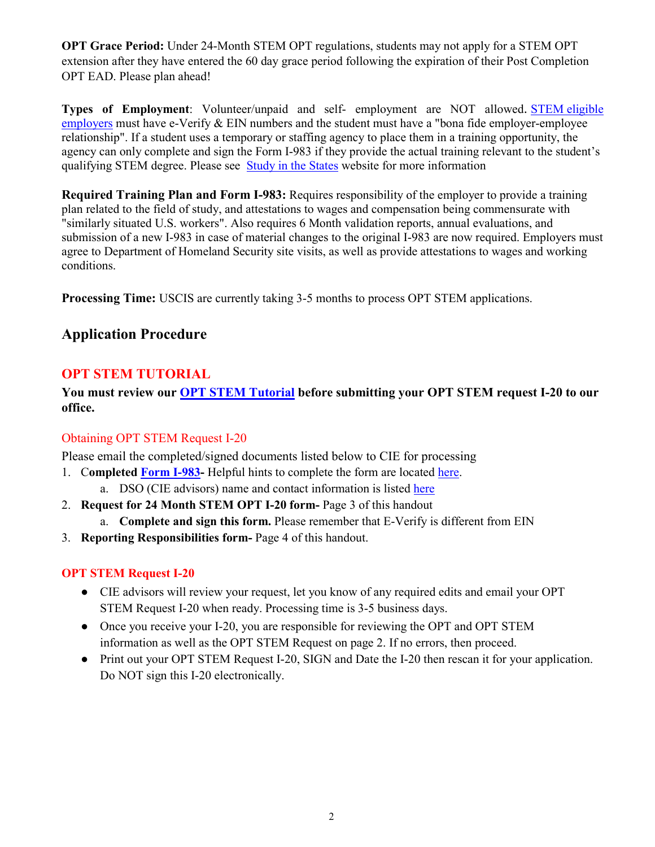**OPT Grace Period:** Under 24-Month STEM OPT regulations, students may not apply for a STEM OPT extension after they have entered the 60 day grace period following the expiration of their Post Completion OPT EAD. Please plan ahead!

**Types of Employment**: Volunteer/unpaid and self- employment are NOT allowed. [STEM eligible](https://studyinthestates.dhs.gov/stem-opt-hub/students-determining-stem-opt-extension-eligibility)  [employers](https://studyinthestates.dhs.gov/stem-opt-hub/students-determining-stem-opt-extension-eligibility) must have e-Verify & EIN numbers and the student must have a "bona fide employer-employee relationship". If a student uses a temporary or staffing agency to place them in a training opportunity, the agency can only complete and sign the Form I-983 if they provide the actual training relevant to the student's qualifying STEM degree. Please see [Study in the States](https://studyinthestates.dhs.gov/2016/07/questions-from-designated-school-officials-can-stem-opt-students-use-staffing-or-temporary-agencies-0) [we](https://studyinthestates.dhs.gov/2016/07/questions-from-designated-school-officials-can-stem-opt-students-use-staffing-or-temporary-agencies-0)bsite for more information

**Required Training Plan and Form I-983:** Requires responsibility of the employer to provide a training plan related to the field of study, and attestations to wages and compensation being commensurate with "similarly situated U.S. workers". Also requires 6 Month validation reports, annual evaluations, and submission of a new I-983 in case of material changes to the original I-983 are now required. Employers must agree to Department of Homeland Security site visits, as well as provide attestations to wages and working conditions.

**Processing Time:** USCIS are currently taking 3-5 months to process OPT STEM applications.

# **Application Procedure**

# **OPT STEM TUTORIAL**

**You must review our [OPT STEM Tutorial](https://www.csueastbay.edu/cie/files/docs/pdfs/employment-handouts/stem-opt-tutorial.pdf) before submitting your OPT STEM request I-20 to our office.** 

## Obtaining OPT STEM Request I-20

Please email the completed/signed documents listed below to CIE for processing

- 1. C**ompleted [Form I-983-](https://www.ice.gov/doclib/sevis/pdf/i983.pdf)** Helpful hints to complete the form are located [here.](https://www.csueastbay.edu/cie/files/docs/pdfs/employment-handouts/i-983-instructions.pdf)
	- a. DSO (CIE advisors) name and contact information is listed [here](https://www.csueastbay.edu/cie/f-1-students/advising.html)
- 2. **Request for 24 Month STEM OPT I-20 form-** Page 3 of this handout
	- a. **Complete and sign this form.** Please remember that E-Verify is different from EIN
- 3. **Reporting Responsibilities form-** Page 4 of this handout.

## **OPT STEM Request I-20**

- CIE advisors will review your request, let you know of any required edits and email your OPT STEM Request I-20 when ready. Processing time is 3-5 business days.
- Once you receive your I-20, you are responsible for reviewing the OPT and OPT STEM information as well as the OPT STEM Request on page 2. If no errors, then proceed.
- Print out your OPT STEM Request I-20, SIGN and Date the I-20 then rescan it for your application. Do NOT sign this I-20 electronically.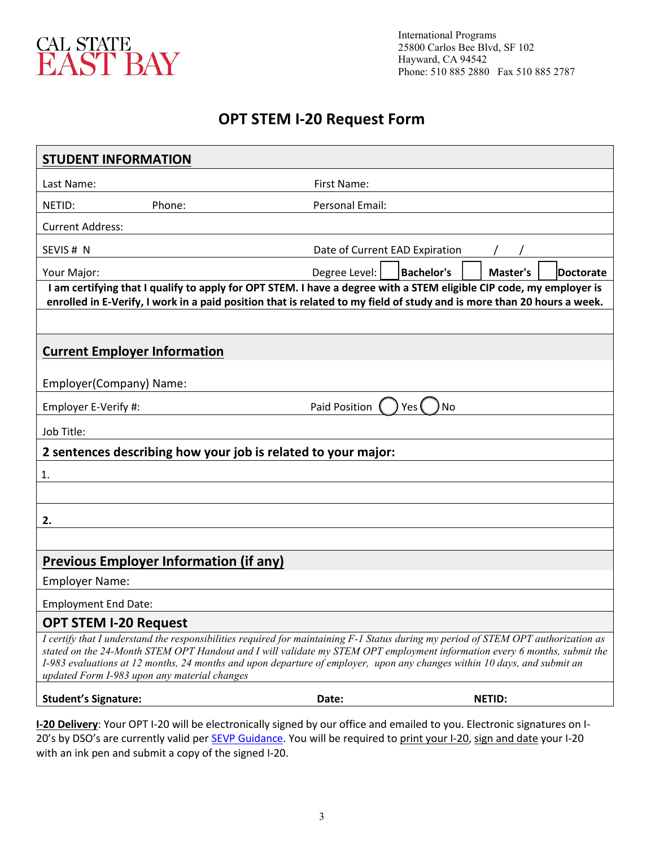

International Programs 25800 Carlos Bee Blvd, SF 102 Hayward, CA 94542 Phone: 510 885 2880 Fax 510 885 2787

# **OPT STEM I-20 Request Form**

| Last Name:                                                                                                                                                                                                                                                                                                                                                                                                                                  | First Name:                                                 |  |
|---------------------------------------------------------------------------------------------------------------------------------------------------------------------------------------------------------------------------------------------------------------------------------------------------------------------------------------------------------------------------------------------------------------------------------------------|-------------------------------------------------------------|--|
| NETID:<br>Phone:                                                                                                                                                                                                                                                                                                                                                                                                                            | Personal Email:                                             |  |
| <b>Current Address:</b>                                                                                                                                                                                                                                                                                                                                                                                                                     |                                                             |  |
| SEVIS # N                                                                                                                                                                                                                                                                                                                                                                                                                                   | Date of Current EAD Expiration                              |  |
| Your Major:                                                                                                                                                                                                                                                                                                                                                                                                                                 | Degree Level:<br><b>Bachelor's</b><br>Master's<br>Doctorate |  |
| I am certifying that I qualify to apply for OPT STEM. I have a degree with a STEM eligible CIP code, my employer is<br>enrolled in E-Verify, I work in a paid position that is related to my field of study and is more than 20 hours a week.                                                                                                                                                                                               |                                                             |  |
|                                                                                                                                                                                                                                                                                                                                                                                                                                             |                                                             |  |
| <b>Current Employer Information</b>                                                                                                                                                                                                                                                                                                                                                                                                         |                                                             |  |
| Employer(Company) Name:                                                                                                                                                                                                                                                                                                                                                                                                                     |                                                             |  |
| Employer E-Verify #:                                                                                                                                                                                                                                                                                                                                                                                                                        | Paid Position<br>No<br>Yes (                                |  |
| Job Title:                                                                                                                                                                                                                                                                                                                                                                                                                                  |                                                             |  |
| 2 sentences describing how your job is related to your major:                                                                                                                                                                                                                                                                                                                                                                               |                                                             |  |
| 1.                                                                                                                                                                                                                                                                                                                                                                                                                                          |                                                             |  |
|                                                                                                                                                                                                                                                                                                                                                                                                                                             |                                                             |  |
| 2.                                                                                                                                                                                                                                                                                                                                                                                                                                          |                                                             |  |
|                                                                                                                                                                                                                                                                                                                                                                                                                                             |                                                             |  |
| <b>Previous Employer Information (if any)</b>                                                                                                                                                                                                                                                                                                                                                                                               |                                                             |  |
| <b>Employer Name:</b>                                                                                                                                                                                                                                                                                                                                                                                                                       |                                                             |  |
| <b>Employment End Date:</b>                                                                                                                                                                                                                                                                                                                                                                                                                 |                                                             |  |
| <b>OPT STEM I-20 Request</b>                                                                                                                                                                                                                                                                                                                                                                                                                |                                                             |  |
| I certify that I understand the responsibilities required for maintaining F-1 Status during my period of STEM OPT authorization as<br>stated on the 24-Month STEM OPT Handout and I will validate my STEM OPT employment information every 6 months, submit the<br>I-983 evaluations at 12 months, 24 months and upon departure of employer, upon any changes within 10 days, and submit an<br>updated Form I-983 upon any material changes |                                                             |  |
| <b>Student's Signature:</b>                                                                                                                                                                                                                                                                                                                                                                                                                 | <b>NETID:</b><br>Date:                                      |  |

**I-20 Delivery**: Your OPT I-20 will be electronically signed by our office and emailed to you. Electronic signatures on I-20's by DSO's are currently valid per **SEVP Guidance**. You will be required to print your I-20, sign and date your I-20 with an ink pen and submit a copy of the signed I-20.